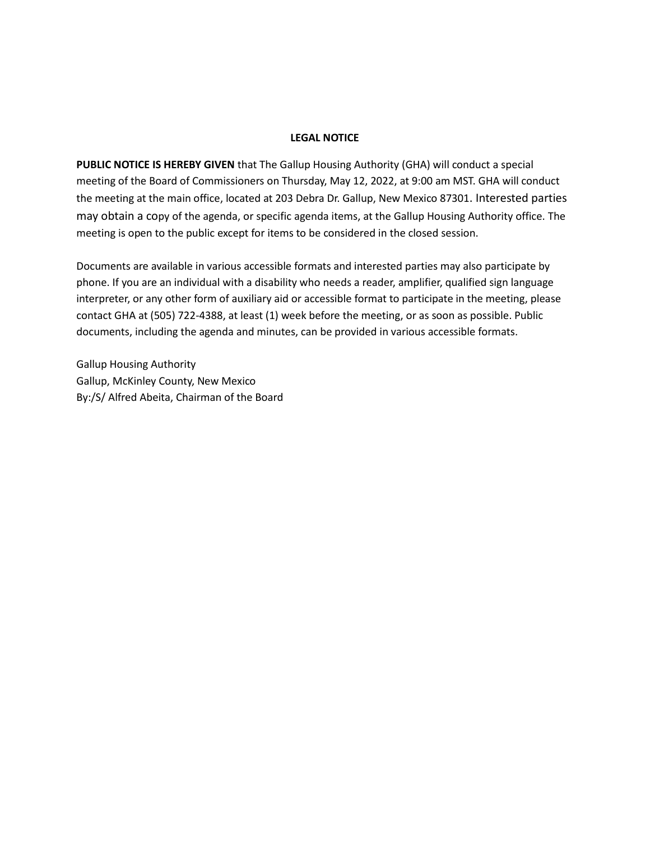## **LEGAL NOTICE**

**PUBLIC NOTICE IS HEREBY GIVEN** that The Gallup Housing Authority (GHA) will conduct a special meeting of the Board of Commissioners on Thursday, May 12, 2022, at 9:00 am MST. GHA will conduct the meeting at the main office, located at 203 Debra Dr. Gallup, New Mexico 87301. Interested parties may obtain a copy of the agenda, or specific agenda items, at the Gallup Housing Authority office. The meeting is open to the public except for items to be considered in the closed session.

Documents are available in various accessible formats and interested parties may also participate by phone. If you are an individual with a disability who needs a reader, amplifier, qualified sign language interpreter, or any other form of auxiliary aid or accessible format to participate in the meeting, please contact GHA at (505) 722-4388, at least (1) week before the meeting, or as soon as possible. Public documents, including the agenda and minutes, can be provided in various accessible formats.

Gallup Housing Authority Gallup, McKinley County, New Mexico By:/S/ Alfred Abeita, Chairman of the Board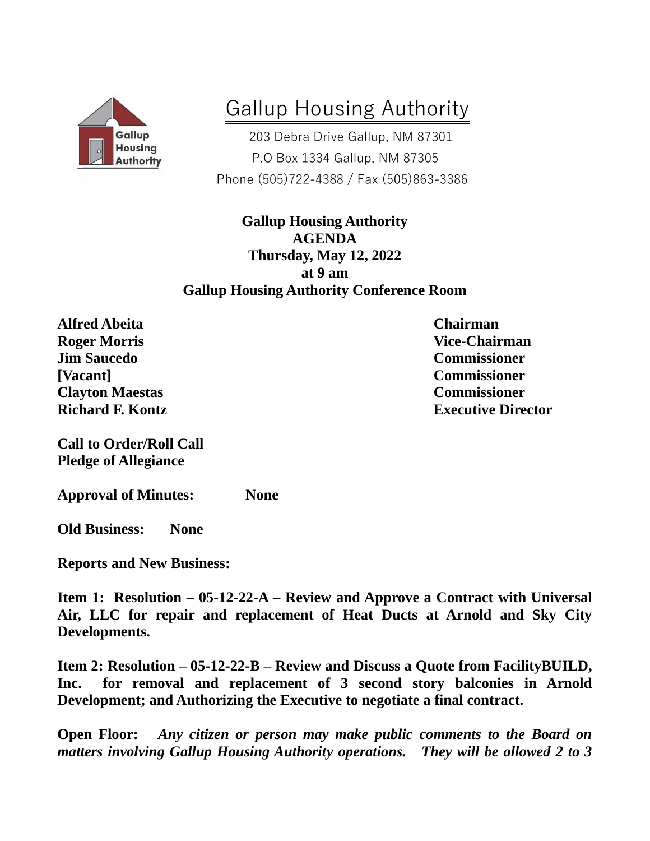

## Gallup Housing Authority

 203 Debra Drive Gallup, NM 87301 P.O Box 1334 Gallup, NM 87305 Phone (505)722-4388 / Fax (505)863-3386

**Gallup Housing Authority AGENDA Thursday, May 12, 2022 at 9 am Gallup Housing Authority Conference Room**

**Alfred Abeita Chairman Roger Morris Vice-Chairman Jim Saucedo Commissioner [Vacant] Commissioner Clayton Maestas Commissioner**

**Call to Order/Roll Call Pledge of Allegiance**

**Approval of Minutes: None**

**Old Business: None** 

**Reports and New Business:**

**Item 1: Resolution – 05-12-22-A – Review and Approve a Contract with Universal Air, LLC for repair and replacement of Heat Ducts at Arnold and Sky City Developments.** 

**Item 2: Resolution – 05-12-22-B – Review and Discuss a Quote from FacilityBUILD, Inc. for removal and replacement of 3 second story balconies in Arnold Development; and Authorizing the Executive to negotiate a final contract.** 

**Open Floor:** *Any citizen or person may make public comments to the Board on matters involving Gallup Housing Authority operations. They will be allowed 2 to 3* 

**Richard F. Kontz Executive Director**